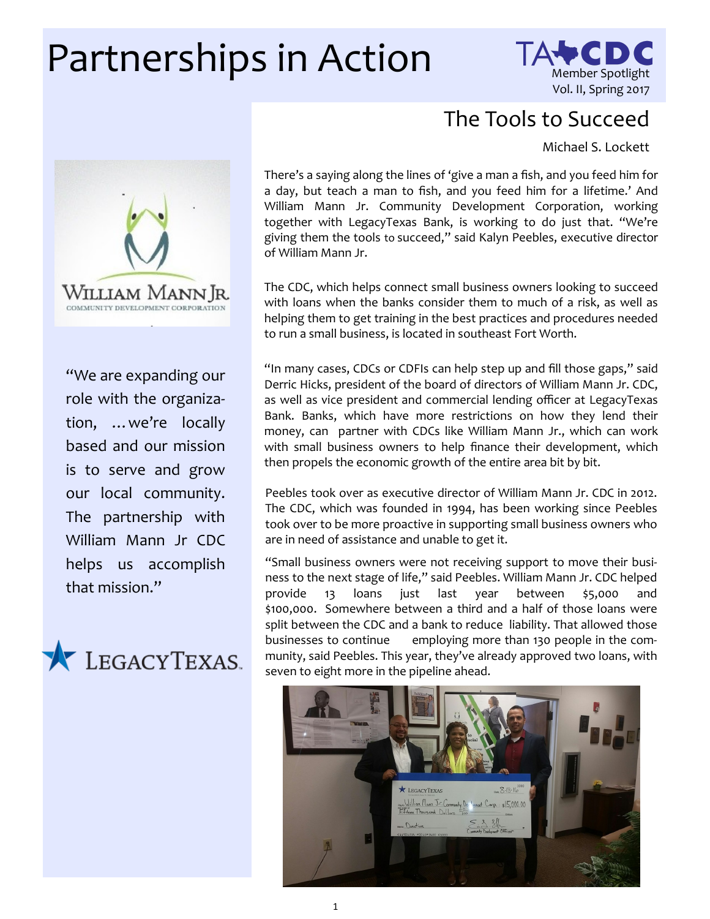## Partnerships in Action Member Spotlight



## The Tools to Succeed

Michael S. Lockett



"We are expanding our role with the organization, …we're locally based and our mission is to serve and grow our local community. The partnership with William Mann Jr CDC helps us accomplish that mission."



There's a saying along the lines of 'give a man a fish, and you feed him for a day, but teach a man to fish, and you feed him for a lifetime.' And William Mann Jr. Community Development Corporation, working together with LegacyTexas Bank, is working to do just that. "We're giving them the tools to succeed," said Kalyn Peebles, executive director of William Mann Jr.

The CDC, which helps connect small business owners looking to succeed with loans when the banks consider them to much of a risk, as well as helping them to get training in the best practices and procedures needed to run a small business, is located in southeast Fort Worth.

"In many cases, CDCs or CDFIs can help step up and fill those gaps," said Derric Hicks, president of the board of directors of William Mann Jr. CDC, as well as vice president and commercial lending officer at LegacyTexas Bank. Banks, which have more restrictions on how they lend their money, can partner with CDCs like William Mann Jr., which can work with small business owners to help finance their development, which then propels the economic growth of the entire area bit by bit.

Peebles took over as executive director of William Mann Jr. CDC in 2012. The CDC, which was founded in 1994, has been working since Peebles took over to be more proactive in supporting small business owners who are in need of assistance and unable to get it.

"Small business owners were not receiving support to move their business to the next stage of life," said Peebles. William Mann Jr. CDC helped provide 13 loans just last year between \$5,000 and \$100,000. Somewhere between a third and a half of those loans were split between the CDC and a bank to reduce liability. That allowed those businesses to continue employing more than 130 people in the community, said Peebles. This year, they've already approved two loans, with seven to eight more in the pipeline ahead.